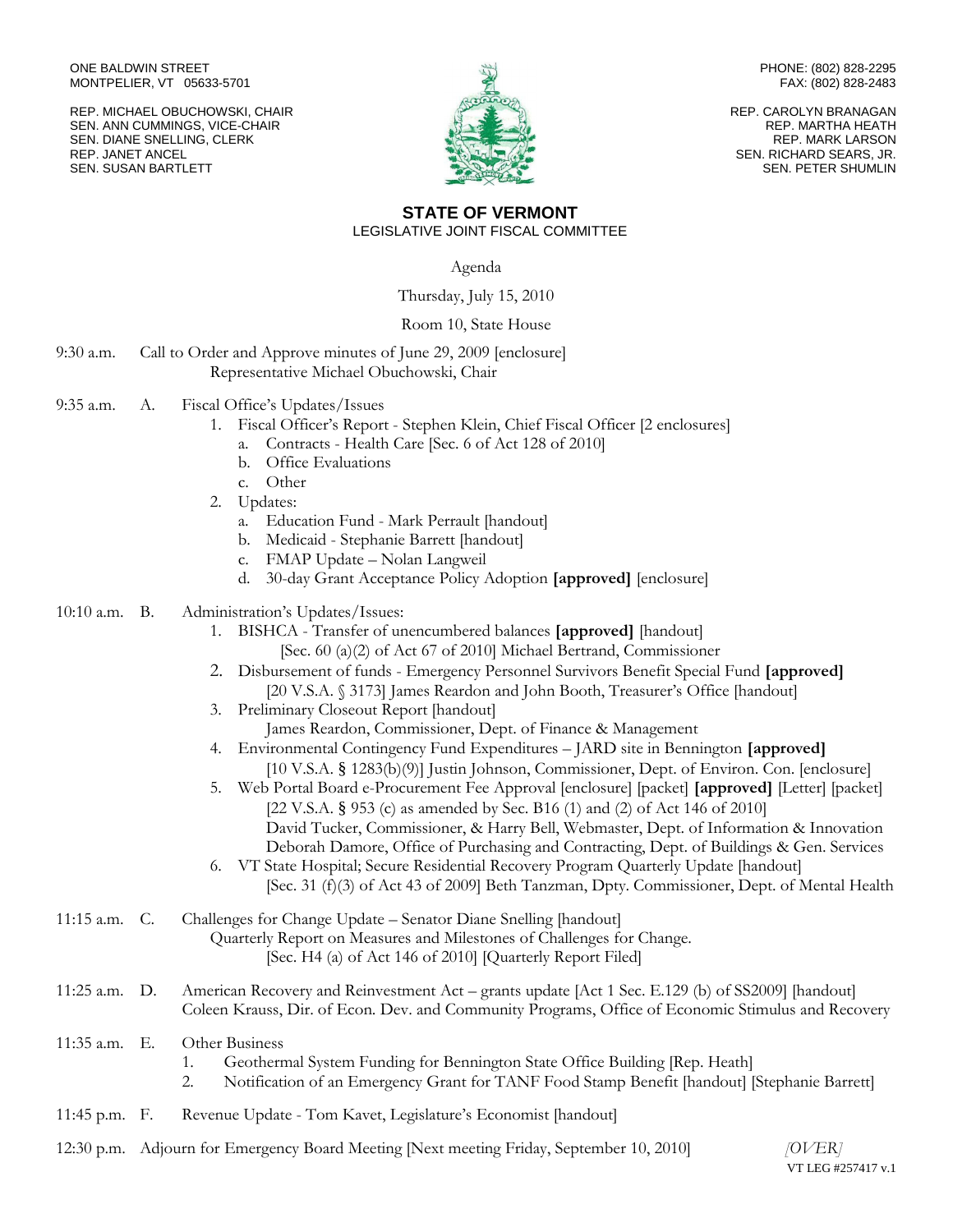ONE BALDWIN STREET MONTPELIER, VT 05633-5701

REP. MICHAEL OBUCHOWSKI, CHAIR SEN. ANN CUMMINGS, VICE-CHAIR SEN. DIANE SNELLING, CLERK REP. JANET ANCEL SEN. SUSAN BARTLETT



PHONE: (802) 828-2295 FAX: (802) 828-2483

REP. CAROLYN BRANAGAN REP. MARTHA HEATH REP. MARK LARSON SEN. RICHARD SEARS, JR. SEN. PETER SHUMLIN

## **STATE OF VERMONT** LEGISLATIVE JOINT FISCAL COMMITTEE

Agenda

Thursday, July 15, 2010

## Room 10, State House

| 9:30 a.m. | Call to Order and Approve minutes of June 29, 2009 [enclosure] |
|-----------|----------------------------------------------------------------|
|           | Representative Michael Obuchowski, Chair                       |

- 9:35 a.m. A. Fiscal Office's Updates/Issues
	- 1. Fiscal Officer's Report Stephen Klein, Chief Fiscal Officer [2 enclosures]
		- a. Contracts Health Care [Sec. 6 of Act 128 of 2010]
		- b. Office Evaluations
	- c. Other
	- 2. Updates:
		- a. Education Fund Mark Perrault [handout]
		- b. Medicaid Stephanie Barrett [handout]
		- c. FMAP Update Nolan Langweil
		- d. 30-day Grant Acceptance Policy Adoption **[approved]** [enclosure]

## 10:10 a.m. B. Administration's Updates/Issues:

- 1. BISHCA Transfer of unencumbered balances **[approved]** [handout] [Sec. 60 (a)(2) of Act 67 of 2010] Michael Bertrand, Commissioner
- 2. Disbursement of funds Emergency Personnel Survivors Benefit Special Fund **[approved]** [20 V.S.A. § 3173] James Reardon and John Booth, Treasurer's Office [handout]
- 3. Preliminary Closeout Report [handout] James Reardon, Commissioner, Dept. of Finance & Management
- 4. Environmental Contingency Fund Expenditures JARD site in Bennington **[approved]** [10 V.S.A. § 1283(b)(9)] Justin Johnson, Commissioner, Dept. of Environ. Con. [enclosure]
- 5. Web Portal Board e-Procurement Fee Approval [enclosure] [packet] **[approved]** [Letter] [packet] [22 V.S.A. § 953 (c) as amended by Sec. B16 (1) and (2) of Act 146 of 2010] David Tucker, Commissioner, & Harry Bell, Webmaster, Dept. of Information & Innovation Deborah Damore, Office of Purchasing and Contracting, Dept. of Buildings & Gen. Services
- 6. VT State Hospital; Secure Residential Recovery Program Quarterly Update [handout] [Sec. 31 (f)(3) of Act 43 of 2009] Beth Tanzman, Dpty. Commissioner, Dept. of Mental Health

# 11:15 a.m. C. Challenges for Change Update – Senator Diane Snelling [handout] Quarterly Report on Measures and Milestones of Challenges for Change. [Sec. H4 (a) of Act 146 of 2010] [Quarterly Report Filed]

11:25 a.m. D. American Recovery and Reinvestment Act – grants update [Act 1 Sec. E.129 (b) of SS2009] [handout] Coleen Krauss, Dir. of Econ. Dev. and Community Programs, Office of Economic Stimulus and Recovery

# 11:35 a.m. E. Other Business

- 1. Geothermal System Funding for Bennington State Office Building [Rep. Heath]
- 2. Notification of an Emergency Grant for TANF Food Stamp Benefit [handout] [Stephanie Barrett]
- 11:45 p.m. F. Revenue Update Tom Kavet, Legislature's Economist [handout]
- 12:30 p.m. Adjourn for Emergency Board Meeting [Next meeting Friday, September 10, 2010] *[OVER]*

VT LEG #257417 v.1